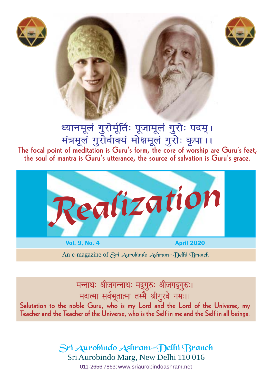





ध्यानमूलं गुरोर्मूर्तिः पूजामूलं गुरोः पदम् । मंत्रमूलं गुरोर्वाक्यं मोक्षमूलं गुरोः कृपा।। **The focal point of meditation is Guru's form, the core of worship are Guru's feet, the soul of mantra is Guru's utterance, the source of salvation is Guru's grace.**



An e-magazine of Sri Aurobindo Ashram-Delhi Branch

मन्नाथः श्रीजगन्नाथः मद्**गुरुः श्रीजगद्**गुरुः। **मदात्मा सर्वभूतात्मा तस्मै श्रीगुरवे नमः।।** 

**Salutation to the noble Guru, who is my Lord and the Lord of the Universe, my Teacher and the Teacher of the Universe, who is the Self in me and the Self in all beings.**

> Sri Aurobindo Ashram-Delhi Branch Sri Aurobindo Marg, New Delhi 110 016

011-2656 7863; www.sriaurobindoashram.net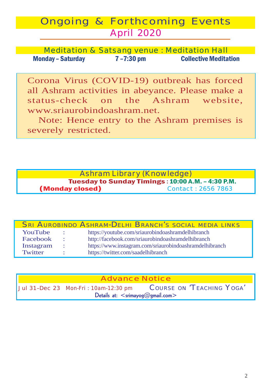# Ongoing & Forthcoming Events April 2020

Meditation & Satsang venue : Meditation Hall Monday – Saturday 7 –7:30 pm Collective Meditation

Corona Virus (COVID-19) outbreak has forced all Ashram activities in abeyance. Please make a status-check on the Ashram website, www.sriaurobindoashram.net.

Note: Hence entry to the Ashram premises is severely restricted.

### Ashram Library (Knowledge) Tuesday to Sunday Timings : 10:00 A.M. - 4:30 P.M.<br>
v closed )<br>
Contact : 2656 7863 (Monday closed) *Contact :* 2656 7863

|           |                  | <b>SRI AUROBINDO ASHRAM-DELHI BRANCH'S SOCIAL MEDIA LINKS</b> |  |
|-----------|------------------|---------------------------------------------------------------|--|
| YouTube   | $\sim$ 100 $\pm$ | https://youtube.com/sriaurobindoashramdelhibranch             |  |
| Facebook  | $\sim$ 10 $\sim$ | http://facebook.com/sriaurobindoashramdelhibranch             |  |
| Instagram | $\sim$ 100 $\pm$ | https://www.instagram.com/sriaurobindoashramdelhibranch       |  |
| Twitter   | $\bullet$        | https://twitter.com/saadelhibranch                            |  |

| <b>Advance Notice</b>                         |  |                                                                |  |  |  |
|-----------------------------------------------|--|----------------------------------------------------------------|--|--|--|
|                                               |  | Jul 31-Dec 23 Mon-Fri: 10am-12:30 pm COURSE ON 'TEACHING YOGA' |  |  |  |
| Details at: $\leq$ srimayog $@$ gmail.com $>$ |  |                                                                |  |  |  |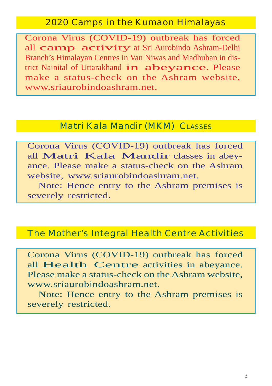## 2020 Camps in the Kumaon Himalayas

Corona Virus (COVID-19) outbreak has forced all camp activity at Sri Aurobindo Ashram-Delhi Branch's Himalayan Centres in Van Niwas and Madhuban in district Nainital of Uttarakhand in abeyance. Please make a status-check on the Ashram website, www.sriaurobindoashram.net.

# Matri Kala Mandir (MKM) CLASSES

Corona Virus (COVID-19) outbreak has forced all Matri Kala Mandir classes in abeyance. Please make a status-check on the Ashram website, www.sriaurobindoashram.net.

Note: Hence entry to the Ashram premises is severely restricted.

## The Mother's Integral Health Centre Activities

Corona Virus (COVID-19) outbreak has forced all Health Centre activities in abeyance. Please make a status-check on the Ashram website, www.sriaurobindoashram.net.

Note: Hence entry to the Ashram premises is severely restricted.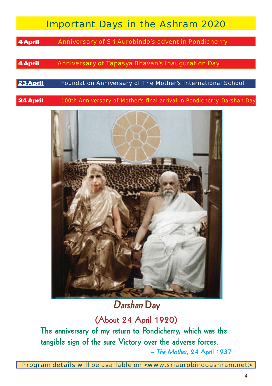# Important Days in the Ashram 2020

**4 April** Anniversary of Sri Aurobindo's advent in Pondicherry

### 4 April Anniversary of *Tapasya* Bhavan's Inauguration Day

#### 23 April **Foundation Anniversary of The Mother's International School**

**24 April** 100th Anniversary of Mother's final arrival in Pondicherry-**Darshan** Day



**Darshan Day**

**(About 24 April 1920)**

**The anniversary of my return to Pondicherry, which was the tangible sign of the sure Victory over the adverse forces. – The Mother, 24 April 1937**

Program details will be available on <www.sriaurobindoashram.net>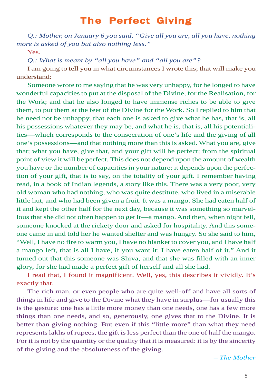# **The Perfect Giving**

*Q.: Mother, on January 6 you said, "Give all you are, all you have, nothing more is asked of you but also nothing less."*

Yes.

*Q.: What is meant by "all you have" and "all you are"?*

I am going to tell you in what circumstances I wrote this; that will make you understand:

Someone wrote to me saying that he was very unhappy, for he longed to have wonderful capacities to put at the disposal of the Divine, for the Realisation, for the Work; and that he also longed to have immense riches to be able to give them, to put them at the feet of the Divine for the Work. So I replied to him that he need not be unhappy, that each one is asked to give what he has, that is, all his possessions whatever they may be, and what he is, that is, all his potentialities—which corresponds to the consecration of one's life and the giving of all one's possessions—and that nothing more than this is asked. What you are, give that; what you have, give that, and your gift will be perfect; from the spiritual point of view it will be perfect. This does not depend upon the amount of wealth you have or the number of capacities in your nature; it depends upon the perfection of your gift, that is to say, on the totality of your gift. I remember having read, in a book of Indian legends, a story like this. There was a very poor, very old woman who had nothing, who was quite destitute, who lived in a miserable little hut, and who had been given a fruit. It was a mango. She had eaten half of it and kept the other half for the next day, because it was something so marvellous that she did not often happen to get it—a mango. And then, when night fell, someone knocked at the rickety door and asked for hospitality. And this someone came in and told her he wanted shelter and was hungry. So she said to him, "Well, I have no fire to warm you, I have no blanket to cover you, and I have half a mango left, that is all I have, if you want it; I have eaten half of it." And it turned out that this someone was Shiva, and that she was filled with an inner glory, for she had made a perfect gift of herself and all she had.

I read that, I found it magnificent. Well, yes, this describes it vividly. It's exactly that.

The rich man, or even people who are quite well-off and have all sorts of things in life and give to the Divine what they have in surplus—for usually this is the gesture: one has a little more money than one needs, one has a few more things than one needs, and so, generously, one gives that to the Divine. It is better than giving nothing. But even if this "little more" than what they need represents lakhs of rupees, the gift is less perfect than the one of half the mango. For it is not by the quantity or the quality that it is measured: it is by the sincerity of the giving and the absoluteness of the giving.

– *The Mother*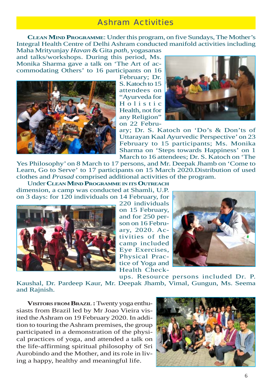## Ashram Activities

**CLEAN MIND PROGRAMME**: Under this program, on five Sundays, The Mother's Integral Health Centre of Delhi Ashram conducted manifold activities including

Maha Mrityunjay *Havan* & Gita *path,* yogasanas and talks/workshops. During this period, Ms. Monika Sharma gave a talk on 'The Art of accommodating Others' to 16 participants on 16



February; Dr. S. Katoch to 15 attendees on "Ayurveda for Holistic Health, not for any Religion" on 22 Febru-



ary; Dr. S. Katoch on 'Do's & Don'ts of Uttarayan Kaal Ayurvedic Perspective' on 23 February to 15 participants; Ms. Monika Sharma on 'Steps towards Happiness' on 1 March to 16 attendees; Dr. S. Katoch on 'The

Yes Philosophy' on 8 March to 17 persons, and Mr. Deepak Jhamb on 'Come to Learn, Go to Serve' to 17 participants on 15 March 2020.Distribution of used clothes and *Prasad* comprised additional activities of the program.

Under **CLEAN MIND PROGRAMME IN ITS OUTREACH** dimension, a camp was conducted at Shamli, U.P. on 3 days: for 120 individuals on 14 February, for



220 individuals on 15 February, and for 250 person on 16 February, 2020. Activities of the camp included Eye Exercises, Physical Practice of Yoga and Health Check-



ups. Resource persons included Dr. P. Kaushal, Dr. Pardeep Kaur, Mr. Deepak Jhamb, Vimal, Gungun, Ms. Seema and Rajnish.

**VISITORS FROM BRAZIL :** Twenty yoga enthusiasts from Brazil led by Mr Joao Vieira visited the Ashram on 19 February 2020. In addition to touring the Ashram premises, the group participated in a demonstration of the physical practices of yoga, and attended a talk on the life-affirming spiritual philosophy of Sri Aurobindo and the Mother, and its role in living a happy, healthy and meaningful life.

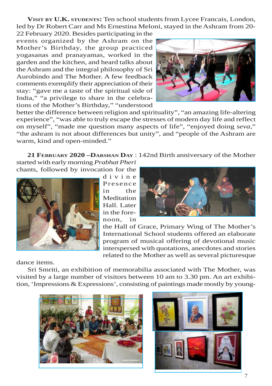**VISIT BY U.K. STUDENTS:** Ten school students from Lycee Francais, London, led by Dr Robert Carr and Ms Ernestina Meloni, stayed in the Ashram from 20-

22 February 2020. Besides participating in the events organized by the Ashram on the Mother's Birthday, the group practiced yogasanas and pranayamas, worked in the garden and the kitchen, and heard talks about the Ashram and the integral philosophy of Sri Aurobindo and The Mother. A few feedback comments exemplify their appreciation of their stay: "gave me a taste of the spiritual side of India," "a privilege to share in the celebrations of the Mother's Birthday," "understood



better the difference between religion and spirituality", "an amazing life-altering experience", "was able to truly escape the stresses of modern day life and reflect on myself", "made me question many aspects of life", "enjoyed doing *seva*," "the ashram is not about differences but unity", and "people of the Ashram are warm, kind and open-minded."

**21 FEBRUARY 2020 –DARSHAN DAY** : 142nd Birth anniversary of the Mother

started with early morning *Prabhat Pheri* chants, followed by invocation for the



divine Presence in the Meditation Hall. Later in the forenoon, in



the Hall of Grace, Primary Wing of The Mother's International School students offered an elaborate program of musical offering of devotional music interspersed with quotations, anecdotes and stories related to the Mother as well as several picturesque

dance items.

Sri Smriti, an exhibition of memorabilia associated with The Mother, was visited by a large number of visitors between 10 am to 3.30 pm. An art exhibition, 'Impressions & Expressions', consisting of paintings made mostly by young-



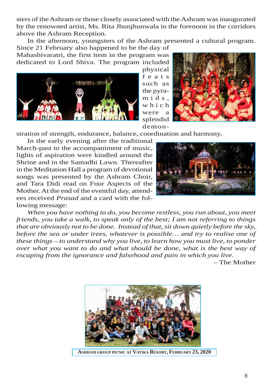sters of the Ashram or those closely associated with the Ashram was inaugurated by the renowned artist, Ms. Rita Jhunjhunwala in the forenoon in the corridors above the Ashram Reception.

In the afternoon, youngsters of the Ashram presented a cultural program. Since 21 February also happened to be the day of

Mahashivaratri, the first item in the program was dedicated to Lord Shiva. The program included





demon-

stration of strength, endurance, balance, coordination and harmony.

In the early evening after the traditional March-past to the accompaniment of music, lights of aspiration were kindled around the Shrine and in the Samadhi Lawn. Thereafter in the Meditation Hall a program of devotional songs was presented by the Ashram Choir, and Tara Didi read on Four Aspects of the Mother. At the end of the eventful day, attendees received *Prasad* and a card with the following message:



*When you have nothing to do, you become restless, you run about, you meet friends, you take a walk, to speak only of the best; I am not referring to things that are obviously not to be done. Instead of that, sit down quietly before the sky, before the sea or under trees, whatever is possible… and try to realise one of these things – to understand why you live, to learn how you must live, to ponder over what you want to do and what should be done, what is the best way of escaping from the ignorance and falsehood and pain in which you live.*

– The Mother



**ASHRAM GROUP PICNIC AT VATIKA RESORT, FEBRUARY 23, 2020**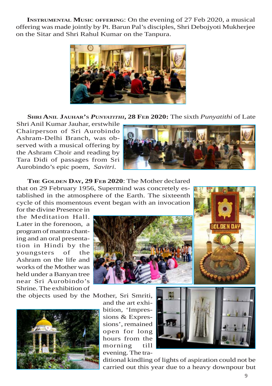**INSTRUMENTAL MUSIC OFFERING:** On the evening of 27 Feb 2020, a musical offering was made jointly by Pt. Barun Pal's disciples, Shri Debojyoti Mukherjee on the Sitar and Shri Rahul Kumar on the Tanpura.



**SHRI ANIL JAUHAR'S** *PUNYATITHI***, 28 FEB 2020:** The sixth *Punyatithi* of Late

Shri Anil Kumar Jauhar, erstwhile Chairperson of Sri Aurobindo Ashram-Delhi Branch, was observed with a musical offering by the Ashram Choir and reading by Tara Didi of passages from Sri Aurobindo's epic poem, *Savitri*.



**THE GOLDEN DAY, 29 FEB 2020**: The Mother declared that on 29 February 1956, Supermind was concretely established in the atmosphere of the Earth. The sixteenth cycle of this momentous event began with an invocation

for the divine Presence in the Meditation Hall. Later in the forenoon, a program of mantra chanting and an oral presentation in Hindi by the youngsters of the Ashram on the life and works of the Mother was held under a Banyan tree near Sri Aurobindo's Shrine. The exhibition of

the objects used by the Mother, Sri Smriti,



and the art exhibition, 'Impressions & Expressions', remained open for long hours from the morning till evening. The tra-



ditional kindling of lights of aspiration could not be carried out this year due to a heavy downpour but

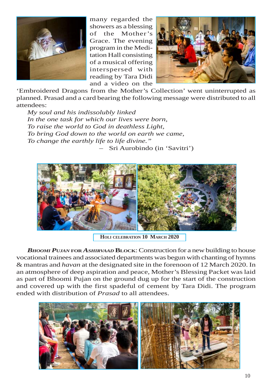

many regarded the showers as a blessing of the Mother's Grace. The evening program in the Meditation Hall consisting of a musical offering interspersed with reading by Tara Didi and a video on the



'Embroidered Dragons from the Mother's Collection' went uninterrupted as planned. Prasad and a card bearing the following message were distributed to all attendees:

*My soul and his indissolubly linked In the one task for which our lives were born, To raise the world to God in deathless Light, To bring God down to the world on earth we came, To change the earthly life to life divine."* – Sri Aurobindo (in 'Savitri')



**HOLI CELEBRATION 10 MARCH 2020**

*BHOOMI PUJAN* **FOR** *ASHIRVAAD* **BLOCK**: Construction for a new building to house vocational trainees and associated departments was begun with chanting of hymns & mantras and *havan* at the designated site in the forenoon of 12 March 2020. In an atmosphere of deep aspiration and peace, Mother's Blessing Packet was laid as part of Bhoomi Pujan on the ground dug up for the start of the construction and covered up with the first spadeful of cement by Tara Didi. The program ended with distribution of *Prasad* to all attendees.

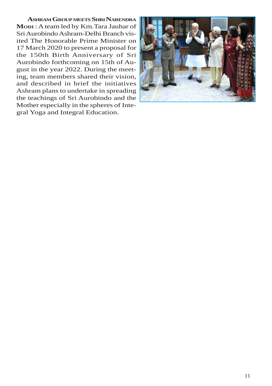**ASHRAM GROUPMEETS SHRI NARENDRA MODI** : A team led by Km.Tara Jauhar of Sri Aurobindo Ashram-Delhi Branch visited The Honorable Prime Minister on 17 March 2020 to present a proposal for the 150th Birth Anniversary of Sri Aurobindo forthcoming on 15th of August in the year 2022. During the meeting, team members shared their vision, and described in brief the initiatives Ashram plans to undertake in spreading the teachings of Sri Aurobindo and the Mother especially in the spheres of Integral Yoga and Integral Education.

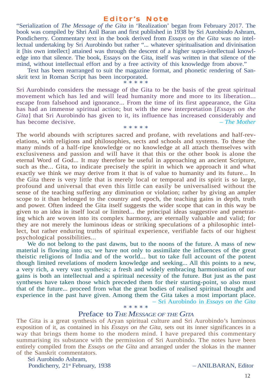#### Editor's Note

"Serialization of *The Message of the Gita* in 'Realization' began from February 2017. The book was compiled by Shri Anil Baran and first published in 1938 by Sri Aurobindo Ashram, Pondicherry. Commentary text in the book derived from *Essays on the Gita* was no intellectual undertaking by Sri Aurobindo but rather "... whatever spiritualisation and divinisation it [his own intellect] attained was through the descent of a higher supra-intellectual knowledge into that silence. The book, Essays on the Gita, itself was written in that silence of the mind, without intellectual effort and by a free activity of this knowledge from above."

Text has been rearranged to suit the magazine format, and phonetic rendering of Sanskrit text in Roman Script has been incorporated. \* \* \* \* \*

Sri Aurobindo considers the message of the Gita to be the basis of the great spiritual movement which has led and will lead humanity more and more to its liberation... escape from falsehood and ignorance... From the time of its first appearance, the Gita has had an immense spiritual action; but with the new interpretation [*Essays on the Gita*] that Sri Aurobindo has given to it, its influence has increased considerably and has become decisive. **Figure**  $\qquad \qquad -$  *The Mother* \* \* \* \* \*

The world abounds with scriptures sacred and profane, with revelations and half-revelations, with religions and philosophies, sects and schools and systems. To these the many minds of a half-ripe knowledge or no knowledge at all attach themselves with exclusiveness and passion and will have it that this or the other book is alone the eternal Word of God... It may therefore be useful in approaching an ancient Scripture, such as the... Gita, to indicate precisely the spirit in which we approach it and what exactly we think we may derive from it that is of value to humanity and its future... In the Gita there is very little that is merely local or temporal and its spirit is so large, profound and universal that even this little can easily be universalised without the sense of the teaching suffering any diminution or violation; rather by giving an ampler scope to it than belonged to the country and epoch, the teaching gains in depth, truth and power. Often indeed the Gita itself suggests the wider scope that can in this way be given to an idea in itself local or limited... the principal ideas suggestive and penetrating which are woven into its complex harmony, are eternally valuable and valid; for they are not merely the luminous ideas or striking speculations of a philosophic intellect, but rather enduring truths of spiritual experience, verifiable facts of our highest psychological possibilities...

We do not belong to the past dawns, but to the noons of the future. A mass of new material is flowing into us; we have not only to assimilate the influences of the great theistic religions of India and of the world... but to take full account of the potent though limited revelations of modern knowledge and seeking... All this points to a new, a very rich, a very vast synthesis; a fresh and widely embracing harmonisation of our gains is both an intellectual and a spiritual necessity of the future. But just as the past syntheses have taken those which preceded them for their starting-point, so also must that of the future... proceed from what the great bodies of realised spiritual thought and experience in the past have given. Among them the Gita takes a most important place. – Sri Aurobindo in *Essays on the Gita* \* \* \* \* \*

#### Preface to *THE MESSAGE OF THE GITA*

The Gita is a great synthesis of Aryan spiritual culture and Sri Aurobindo's luminous exposition of it, as contained in his *Essays on the Gita*, sets out its inner significances in a way that brings them home to the modern mind. I have prepared this commentary summarising its substance with the permission of Sri Aurobindo. The notes have been entirely compiled from the *Essays on the Gita* and arranged under the slokas in the manner of the Sanskrit commentators.

 Sri Aurobindo Ashram, Pondicherry,  $21^{st}$  February, 1938 – ANILBARAN, Editor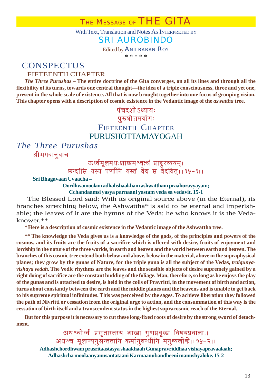With Text, Translation and Notes As INTERPRETED BY

### SRI AUROBINDO

Edited by ANILBARAN ROY

\* \* \* \* \*

## **CONSPECTUS**

### FIFTEENTH CHAPTER

*The Three Purushas* **– The entire doctrine of the Gita converges, on all its lines and through all the flexibility of its turns, towards one central thought—the idea of a triple consciousness, three and yet one, present in the whole scale of existence. All that is now brought together into one focus of grouping vision.** This chapter opens with a description of cosmic existence in the Vedantic image of the *aswattha* tree.

### <u>पंचदशो ऽध्यायः</u> **पुरुषोत्तमयोगः** FIFTEENTH CHAPTER PURUSHOTTAMAYOGAH

*The Three Purushas* श्रीभगवानुवाच -

ऊर्ध्वमूलमधः<mark>शा</mark>खमश्वत्थं प्राहुरव्ययम्। <u>छन्दांसि यस्य<sup>ें</sup>पर्णानि यस्तं वेद स वेदवित्।।१५-१।।</u>

#### **Sri Bhagavaan Uvaacha –**

**Oordhwamoolam adhahshaakham ashwattham praahuravyayam; Cchandaamsi yasya parnaani yastam veda sa vedavit. 15-1**

The Blessed Lord said: With its original source above (in the Eternal), its branches stretching below, the Ashwattha\* is said to be eternal and imperishable; the leaves of it are the hymns of the Veda; he who knows it is the Vedaknower.\*\*

**\*Here is a description of cosmic existence in the Vedantic image of the Ashwattha tree.**

**\*\* The knowledge the Veda gives us is a knowledge of the gods, of the principles and powers of the cosmos, and its fruits are the fruits of a sacrifice which is offered with desire, fruits of enjoyment and lordship in the nature of the three worlds, in earth and heaven and the world between earth and heaven. The branches of this cosmic tree extend both below and above, below in the material, above in the supraphysical planes; they grow by the gunas of Nature, for the triple guna is all the subject of the Vedas,** *traigunyavishaya vedah.* **The Vedic rhythms are the leaves and the sensible objects of desire supremely gained by a right doing of sacrifice are the constant budding of the foliage. Man, therefore, so long as he enjoys the play of the gunas and is attached to desire, is held in the coils of Pravritti, in the movement of birth and action, turns about constantly between the earth and the middle planes and the heavens and is unable to get back to his supreme spiritual infinitudes. This was perceived by the sages. To achieve liberation they followed the path of Nivritti or cessation from the original urge to action, and the consummation of this way is the cessation of birth itself and a transcendent status in the highest supracosmic reach of the Eternal.**

**But for this purpose it is necessary to cut these long-fixed roots of desire by the strong sword of detachment.**

अधश्चोर्ध्वं प्रसृतास्तस्य शाखा गुणप्रवृद्धा विषयप्रवालाः। अधश्च मूलान्यनुसन्ततानि कर्मानुबन्धीनि<sup>ँ</sup>मनुष्यलोके।।१५-२।। **Adhashchordhwam prasritaastasya shaakhaah Gunapravriddhaa vishayapravaalaah; Adhashcha moolaanyanusantataani Karmaanubandheeni manushyaloke. 15-2**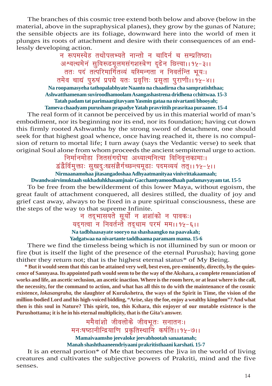The branches of this cosmic tree extend both below and above (below in the material, above in the supraphysical planes), they grow by the gunas of Nature; the sensible objects are its foliage, downward here into the world of men it plunges its roots of attachment and desire with their consequences of an endlessly developing action.

<u>न रूपमस्येह तथोपलभ्यते नान्तो न चादिर्न च सम्प्रतिष्ठा।</u> अश्वत्थमेनं सुविरूढमूलमसंगशस्त्रेण दृढेन छित्त्वा। १५-३।। ततः पदं तत्परिमार्गितव्यं यस्मिन्गता<sup>ँ</sup>न निवर्तन्ति भूयः। तमेव चाद्यं पुरुषं प्रपद्ये यतः प्रवृत्तिः प्रसृता पुराणी।।१५-४।। **Na roopamasyeha tathopalabhyate Naanto na chaadirna cha sampratishthaa;**

**Ashwatthamenam suviroodhamoolam Asangashastrena dridhena cchittwaa. 15-3 Tatah padam tat parimaargitavyam Yasmin gataa na nivartanti bhooyah; Tameva chaadyam purusham prapadye Yatah pravrittih prasritaa puraanee. 15-4**

The real form of it cannot be perceived by us in this material world of man's embodiment, nor its beginning nor its end, nor its foundation; having cut down this firmly rooted Ashwattha by the strong sword of detachment, one should seek for that highest goal whence, once having reached it, there is no compulsion of return to mortal life; I turn away (says the Vedantic verse) to seek that original Soul alone from whom proceeds the ancient sempiternal urge to action.

<u>निर्मा</u>नमोहा जितसंगदोषा अध्यात्मनित्या विनिवृत्तकामाः।

*द्वंद्वैर्विमुक्ताः सुखदुःखसंज्ञैर्गच्छन्त्यमू*ढाः पदमव्ययं तत्।।१५-५।।

**Nirmaanamohaa jitasangadoshaa Adhyaatmanityaa vinivrittakaamaah;**

#### **Dwandwairvimuktaah sukhaduhkhasamjnair Gacchantyamoodhaah padamavyayam tat. 15-5**

To be free from the bewilderment of this lower Maya, without egoism, the great fault of attachment conquered, all desires stilled, the duality of joy and grief cast away, always to be fixed in a pure spiritual consciousness, these are the steps of the way to that supreme Infinite.

> <u>न तद्भासयते सूर्यो न शशांको न पावकः।</u> यदुगत्वा<sup>ं</sup>न निवर्तन्ते<sup>ं</sup> तदुधाम परमं ममा। १५-६।। **Na tadbhaasayate sooryo na shashaangko na paavakah; Yadgatwaa na nivartante taddhaama paramam mama. 15-6**

There we find the timeless being which is not illumined by sun or moon or fire (but is itself the light of the presence of the eternal Purusha); having gone thither they return not; that is the highest eternal status\* of My Being.

**\* But it would seem that this can be attained very well, best even, pre-eminently, directly, by the quiescence of Sannyasa. Its appointed path would seem to be the way of the Akshara, a complete renunciation of works and life, an ascetic seclusion, an ascetic inaction. Where is the room here, or at least where is the call, the necessity, for the command to action, and what has all this to do with the maintenance of the cosmic existence,** *lokasangraha,* **the slaughter of Kurukshetra, the ways of the Spirit in Time, the vision of the million-bodied Lord and his high-voiced bidding, "Arise, slay the foe, enjoy a wealthy kingdom"? And what then is this soul in Nature? This spirit, too, this Kshara, this enjoyer of our mutable existence is the Purushottama; it is he in his eternal multiplicity, that is the Gita's answer.**

> ee <mark>ममैवांशो जीवलोके जीवभूतः सनातनः।</mark><br>मनःषष्ठानीन्द्रियाणि प्रकृतिस्थानि कर्षति।।१५-७।। **Mamaivaamsho jeevaloke jeevabhootah sanaatanah; Manah shashthaaneendriyaani prakritisthaani karshati. 15-7**

It is an eternal portion\* of Me that becomes the ]iva in the world of living creatures and cultivates the subjective powers of Prakriti, mind and the five senses.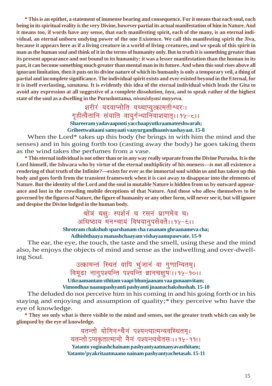**\* This is an epithet, a statement of immense bearing and consequence. For it means that each soul, each being in its spiritual reality is the very Divine, however partial its actual manifestation of him in Nature. And it means too, if words have any sense, that each manifesting spirit, each of the many, is an eternal individual, an eternal unborn undying power of the one Existence. We call this manifesting spirit the Jiva, because it appears here as if a living creature in a world of living creatures, and we speak of this spirit in man as the human soul and think of it in the terms of humanity only. But in truth it is something greater than its present appearance and not bound to its humanity: it was a lesser manifestation than the human in its past, it can become something much greater than mental man in its future. And when this soul rises above all ignorant limitation, then it puts on its divine nature of which its humanity is only a temporary veil, a thing of partial and incomplete significance. The individual spirit exists and ever existed beyond in the Eternal, for it is itself everlasting,** *sanatana.* **It is evidently this idea of the eternal individual which leads the Gita to avoid any expression at all suggestive of a complete dissolution,** *laya***, and to speak rather of the highest state of the soul as a dwelling in the Purushottama,** *nivasishyasi mayyeva.*

# <mark>शरीरं यदवाप्नोति यच्चाप्युत्क्रामतीश्वरः।</mark><br>गृहीत्वैतानि संयाति वायुर्गन्धानिवाशयात्।।१५-८।। **Shareeram yadavaapnoti yacchaapyutkraamateeshwarah; Griheetwaitaani samyaati vaayurgandhaanivaashayaat. 15-8**

When the Lord\* takes up this body (he brings in with him the mind and the senses) and in his going forth too (casting away the body) he goes taking them as the wind takes the perfumes from a vase.

**\* This eternal individual is not other than or in any way really separate from the Divine Purusha. It is the Lord himself, the Ishwara who by virtue of the eternal multiplicity of his oneness—is not all existence a rendering of that truth of the Infinite?—exists for ever as the immortal soul within us and has taken up this body and goes forth from the transient framework when it is cast away to disappear into the elements of Nature. But the identity of the Lord and the soul in mutable Nature is hidden from us by outward appearance and lost in the crowding mobile deceptions of that Nature. And those who allow themselves to be governed by the figures of Nature, the figure of humanity or any other form, will never see it, but will ignore and despise the Divine lodged in the human body.**

## श्रोत्रं चक्षुः स्पर्शनं च रसनं घ्राणमेव च। अधिष्ठाय मनश्चायं विषयानुपसेवते।। १५-<del>६</del>।।

#### **Shrotram chakshuh sparshanam cha rasanam ghraanameva cha;**

#### **Adhishthaaya manashchaayam vishayaanupasevate. 15-9**

The ear, the eye, the touch, the taste and the smell, using these and the mind also, he enjoys the objects of mind and sense as the indwelling and over-dwelling Soul.

### उत्क्रामन्तं स्थितं वापि भुंजानं वा गुणान्वितम्। <u>विमूढा नानुपश्यन्ति पश्यन्ति ज्ञानचक्षुषः।।१५-१०।।</u> **Utkraamantam sthitam vaapi bhunjaanam vaa gunaanvitam;**

**Vimoodhaa naanupashyanti pashyanti jnaanachakshushah. 15-10**

The deluded do not perceive him in his coming in and his going forth or in his staying and enjoying and assumption of quality;\* they perceive who have the eye of knowledge.

**\* They see only what is there visible to the mind and senses, not the greater truth which can only be glimpsed by the eye of knowledge.**

> यतन्तो योगिनश्चैनं पश्यन्त्यात्मन्यवस्थितम्। .<br>यतन्तो ऽप्यकृतात्मानो नैनं पश्यन्त्यचेतसः।। १५-२११। **Yatanto yoginashchainam pashyantyaatmanyavasthitam; Yatanto'pyakritaatmaano nainam pashyantyachetasah. 15-11**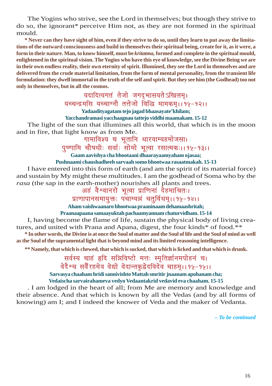The Yogins who strive, see the Lord in themselves; but though they strive to do so, the ignorant\* perceive Him not, as they are not formed in the spiritual mould.

**\* Never can they have sight of him, even if they strive to do so, until they learn to put away the limitations of the outward consciousness and build in themselves their spiritual being, create for it, as it were, a form in their nature. Man, to know himself, must be** *kritatma,* **formed and complete in the spiritual mould, enlightened in the spiritual vision. The Yogins who have this eye of knowledge, see the Divine Being we are in their own endless reality, their own eternity of spirit. Illumined, they see the Lord in themselves and are delivered from the crude material limitation, from the form of mental personality, from the transient life formulation: they dwell immortal in the truth of the self and spirit. But they see him (the Godhead) too not only in themselves, but in all the cosmos.**

### यदादित्यगतं तेजो जगद्**भासयते ऽखिलम्**। .<br>यच्चन्द्रमसि यच्चाग्नौ तत्तेजो विद्धि मामकम् । । १५-१२। । **Yadaadityagatam tejo jagad bhaasayate'khilam;**

#### **Yacchandramasi yacchaagnau tattejo viddhi maamakam. 15-12**

The light of the sun that illumines all this world, that which is in the moon and in fire, that light know as from Me.

## गामाविश्य च भूतानि धारयाम्यहमोजसा।

पुष्णामि चौषधीः सर्वाः सोमो भूत्वा रसात्मकः।। १५-१३।।

**Gaam aavishya cha bhootaani dhaarayaamyaham ojasaa;**

#### **Pushnaami chaushadheeh sarvaah somo bhootwaa rasaatmakah. 15-13**

I have entered into this form of earth (and am the spirit of its material force) and sustain by My might these multitudes. I am the godhead of Soma who by the *rasa* (the sap in the earth-mother) nourishes all plants and trees.

## अहं वैश्वानरो भूत्वा प्राणिनां देहमाश्रितः।

## <u>प्राणापानसमायुक्तः पंचाम्यन्नं चतुर्विधम्।। १५-१४।।</u>

**Aham vaishwaanaro bhootwaa praaninaam dehamaashritah;**

#### **Praanaapaana samaayuktah pachaamyannam chaturvidham. 15-14**

I, having become the flame of life, sustain the physical body of living creatures, and united with Prana and Apana, digest, the four kinds\* of food.\*\*

**\* In other words, the Divine is at once the Soul of matter and the Soul of life and the Soul of mind as well as the Soul of the supramental light that is beyond mind and its limited reasoning intelligence.**

**\*\* Namely, that which is chewed, that which is sucked, that which is licked and that which is drunk.**

## सर्वस्य चाहं हृदि सन्निविष्टो मत्तः स्मृतिर्ज्ञानमपोहनं च। <u>वेदैश्च सर्वैरहमेव वेद्यो वेदान्तकृद्वेदविदेव चाहमृ।। १५-१५।।</u>

**Sarvasya chaaham hridi sannivishto Mattah smritir jnaanam apohanam cha; Vedaischa sarvairahameva vedyo Vedaantakrid vedavid eva chaaham. 15-15**

. I am lodged in the heart of all; from Me are memory and knowledge and their absence. And that which is known by all the Vedas (and by all forms of knowing) am I; and I indeed the knower of Veda and the maker of Vedanta.

**–** *To be continued*